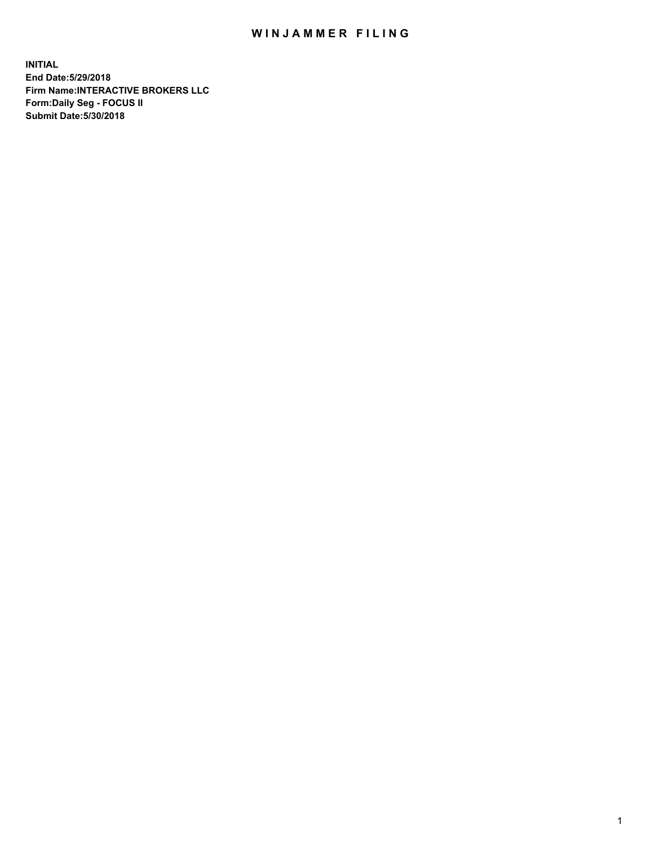## WIN JAMMER FILING

**INITIAL End Date:5/29/2018 Firm Name:INTERACTIVE BROKERS LLC Form:Daily Seg - FOCUS II Submit Date:5/30/2018**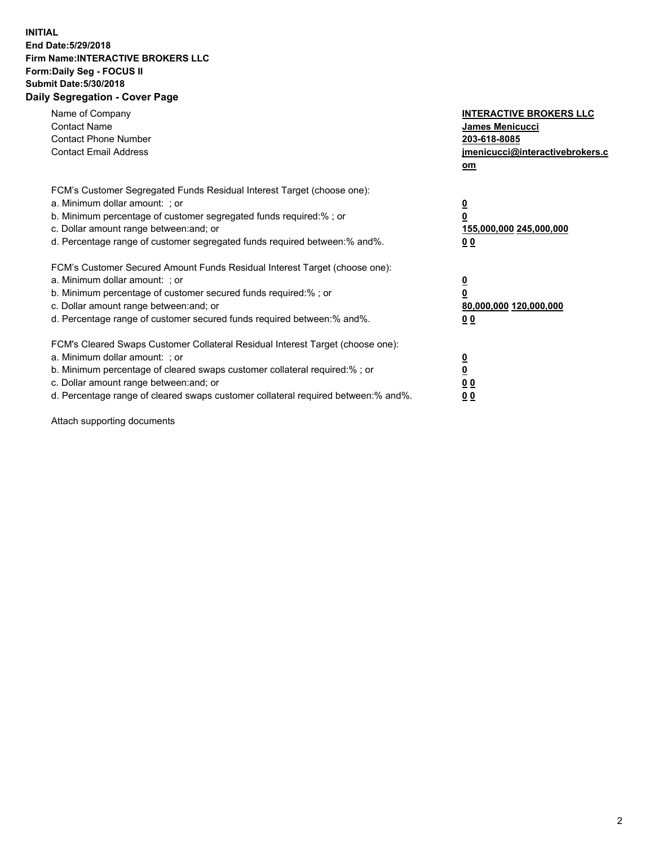## **INITIAL End Date:5/29/2018 Firm Name:INTERACTIVE BROKERS LLC Form:Daily Seg - FOCUS II Submit Date:5/30/2018 Daily Segregation - Cover Page**

| Name of Company<br><b>Contact Name</b><br><b>Contact Phone Number</b><br><b>Contact Email Address</b>                                                                                                                                                                                                                          | <b>INTERACTIVE BROKERS LLC</b><br>James Menicucci<br>203-618-8085<br>jmenicucci@interactivebrokers.c<br>om |
|--------------------------------------------------------------------------------------------------------------------------------------------------------------------------------------------------------------------------------------------------------------------------------------------------------------------------------|------------------------------------------------------------------------------------------------------------|
| FCM's Customer Segregated Funds Residual Interest Target (choose one):<br>a. Minimum dollar amount: ; or<br>b. Minimum percentage of customer segregated funds required:%; or<br>c. Dollar amount range between: and; or<br>d. Percentage range of customer segregated funds required between:% and%.                          | $\overline{\mathbf{0}}$<br>0<br>155,000,000 245,000,000<br>0 <sub>0</sub>                                  |
| FCM's Customer Secured Amount Funds Residual Interest Target (choose one):<br>a. Minimum dollar amount: ; or<br>b. Minimum percentage of customer secured funds required:%; or<br>c. Dollar amount range between: and; or<br>d. Percentage range of customer secured funds required between:% and%.                            | $\overline{\mathbf{0}}$<br>$\overline{\mathbf{0}}$<br>80,000,000 120,000,000<br>00                         |
| FCM's Cleared Swaps Customer Collateral Residual Interest Target (choose one):<br>a. Minimum dollar amount: ; or<br>b. Minimum percentage of cleared swaps customer collateral required:% ; or<br>c. Dollar amount range between: and; or<br>d. Percentage range of cleared swaps customer collateral required between:% and%. | $\overline{\mathbf{0}}$<br>$\overline{\mathbf{0}}$<br>0 <sub>0</sub><br><u>00</u>                          |

Attach supporting documents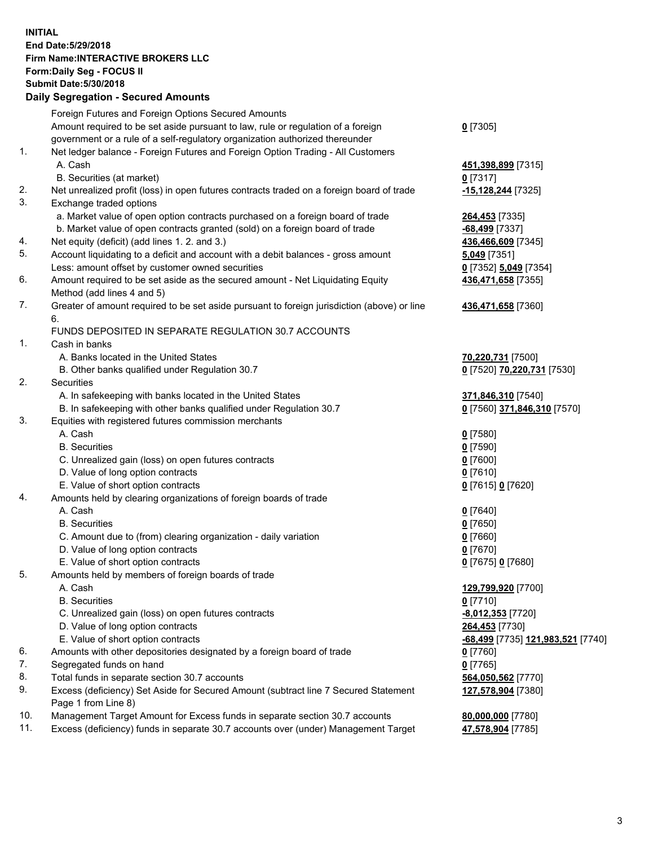## **INITIAL End Date:5/29/2018 Firm Name:INTERACTIVE BROKERS LLC Form:Daily Seg - FOCUS II Submit Date:5/30/2018 Daily Segregation - Secured Amounts**

| Daily Jegregation - Jeculed Aniounts                                                        |                                                |
|---------------------------------------------------------------------------------------------|------------------------------------------------|
| Foreign Futures and Foreign Options Secured Amounts                                         |                                                |
| Amount required to be set aside pursuant to law, rule or regulation of a foreign            | $0$ [7305]                                     |
| government or a rule of a self-regulatory organization authorized thereunder                |                                                |
| Net ledger balance - Foreign Futures and Foreign Option Trading - All Customers             |                                                |
| A. Cash                                                                                     | 451,398,899 [7315]                             |
| B. Securities (at market)                                                                   | $0$ [7317]                                     |
| Net unrealized profit (loss) in open futures contracts traded on a foreign board of trade   | -15,128,244 [7325]                             |
| Exchange traded options                                                                     |                                                |
| a. Market value of open option contracts purchased on a foreign board of trade              | <b>264,453</b> [7335]                          |
| b. Market value of open contracts granted (sold) on a foreign board of trade                | -68,499 [7337]                                 |
| Net equity (deficit) (add lines 1.2. and 3.)                                                | 436,466,609 [7345]                             |
| Account liquidating to a deficit and account with a debit balances - gross amount           | 5,049 [7351]                                   |
| Less: amount offset by customer owned securities                                            | 0 [7352] 5,049 [7354]                          |
| Amount required to be set aside as the secured amount - Net Liquidating Equity              | 436,471,658 [7355]                             |
| Method (add lines 4 and 5)                                                                  |                                                |
| Greater of amount required to be set aside pursuant to foreign jurisdiction (above) or line | 436,471,658 [7360]                             |
| 6.                                                                                          |                                                |
| FUNDS DEPOSITED IN SEPARATE REGULATION 30.7 ACCOUNTS                                        |                                                |
| Cash in banks                                                                               |                                                |
| A. Banks located in the United States                                                       | 70,220,731 [7500]                              |
| B. Other banks qualified under Regulation 30.7                                              | 0 [7520] 70,220,731 [7530]                     |
| Securities                                                                                  |                                                |
| A. In safekeeping with banks located in the United States                                   | 371,846,310 [7540]                             |
| B. In safekeeping with other banks qualified under Regulation 30.7                          | 0 [7560] 371,846,310 [7570]                    |
| Equities with registered futures commission merchants                                       |                                                |
| A. Cash                                                                                     | $0$ [7580]                                     |
| <b>B.</b> Securities                                                                        | $0$ [7590]                                     |
| C. Unrealized gain (loss) on open futures contracts                                         | $0$ [7600]                                     |
| D. Value of long option contracts                                                           | $0$ [7610]                                     |
| E. Value of short option contracts                                                          | 0 [7615] 0 [7620]                              |
| Amounts held by clearing organizations of foreign boards of trade                           |                                                |
| A. Cash                                                                                     | $0$ [7640]                                     |
| <b>B.</b> Securities                                                                        | $0$ [7650]                                     |
| C. Amount due to (from) clearing organization - daily variation                             | $0$ [7660]                                     |
| D. Value of long option contracts                                                           | $0$ [7670]                                     |
| E. Value of short option contracts                                                          | 0 [7675] 0 [7680]                              |
| Amounts held by members of foreign boards of trade                                          |                                                |
| A. Cash                                                                                     | 129,799,920 [7700]                             |
| <b>B.</b> Securities                                                                        | $0$ [7710]                                     |
| C. Unrealized gain (loss) on open futures contracts                                         | -8,012,353 [7720]                              |
| D. Value of long option contracts                                                           | 264,453 [7730]                                 |
| E. Value of short option contracts                                                          | <mark>-68,499</mark> [7735] 121,983,521 [7740] |
| Amounts with other depositories designated by a foreign board of trade                      | $0$ [7760]                                     |
| Segregated funds on hand                                                                    | $0$ [7765]                                     |
| Total funds in separate section 30.7 accounts                                               | 564,050,562 [7770]                             |
| Excess (deficiency) Set Aside for Secured Amount (subtract line 7 Secured Statement         | 127,578,904 [7380]                             |
| Page 1 from Line 8)                                                                         |                                                |
| Management Target Amount for Excess funds in separate section 30.7 accounts                 | 80,000,000 [7780]                              |
| Excess (deficiency) funds in separate 30.7 accounts over (under) Management Target          | 47,578,904 [7785]                              |
|                                                                                             |                                                |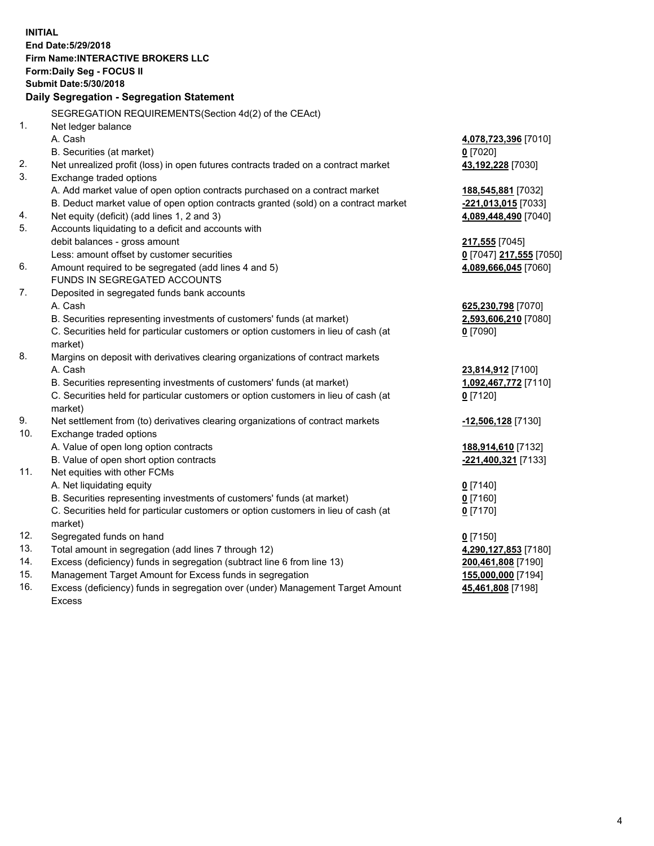**INITIAL End Date:5/29/2018 Firm Name:INTERACTIVE BROKERS LLC Form:Daily Seg - FOCUS II Submit Date:5/30/2018 Daily Segregation - Segregation Statement** SEGREGATION REQUIREMENTS(Section 4d(2) of the CEAct) 1. Net ledger balance A. Cash **4,078,723,396** [7010] B. Securities (at market) **0** [7020] 2. Net unrealized profit (loss) in open futures contracts traded on a contract market **43,192,228** [7030] 3. Exchange traded options A. Add market value of open option contracts purchased on a contract market **188,545,881** [7032] B. Deduct market value of open option contracts granted (sold) on a contract market **-221,013,015** [7033] 4. Net equity (deficit) (add lines 1, 2 and 3) **4,089,448,490** [7040] 5. Accounts liquidating to a deficit and accounts with debit balances - gross amount **217,555** [7045] Less: amount offset by customer securities **0** [7047] **217,555** [7050] 6. Amount required to be segregated (add lines 4 and 5) **4,089,666,045** [7060] FUNDS IN SEGREGATED ACCOUNTS 7. Deposited in segregated funds bank accounts A. Cash **625,230,798** [7070] B. Securities representing investments of customers' funds (at market) **2,593,606,210** [7080] C. Securities held for particular customers or option customers in lieu of cash (at market) **0** [7090] 8. Margins on deposit with derivatives clearing organizations of contract markets A. Cash **23,814,912** [7100] B. Securities representing investments of customers' funds (at market) **1,092,467,772** [7110] C. Securities held for particular customers or option customers in lieu of cash (at market) **0** [7120] 9. Net settlement from (to) derivatives clearing organizations of contract markets **-12,506,128** [7130] 10. Exchange traded options A. Value of open long option contracts **188,914,610** [7132] B. Value of open short option contracts **-221,400,321** [7133] 11. Net equities with other FCMs A. Net liquidating equity **0** [7140] B. Securities representing investments of customers' funds (at market) **0** [7160] C. Securities held for particular customers or option customers in lieu of cash (at market) **0** [7170] 12. Segregated funds on hand **0** [7150] 13. Total amount in segregation (add lines 7 through 12) **4,290,127,853** [7180] 14. Excess (deficiency) funds in segregation (subtract line 6 from line 13) **200,461,808** [7190] 15. Management Target Amount for Excess funds in segregation **155,000,000** [7194]

16. Excess (deficiency) funds in segregation over (under) Management Target Amount Excess

**45,461,808** [7198]